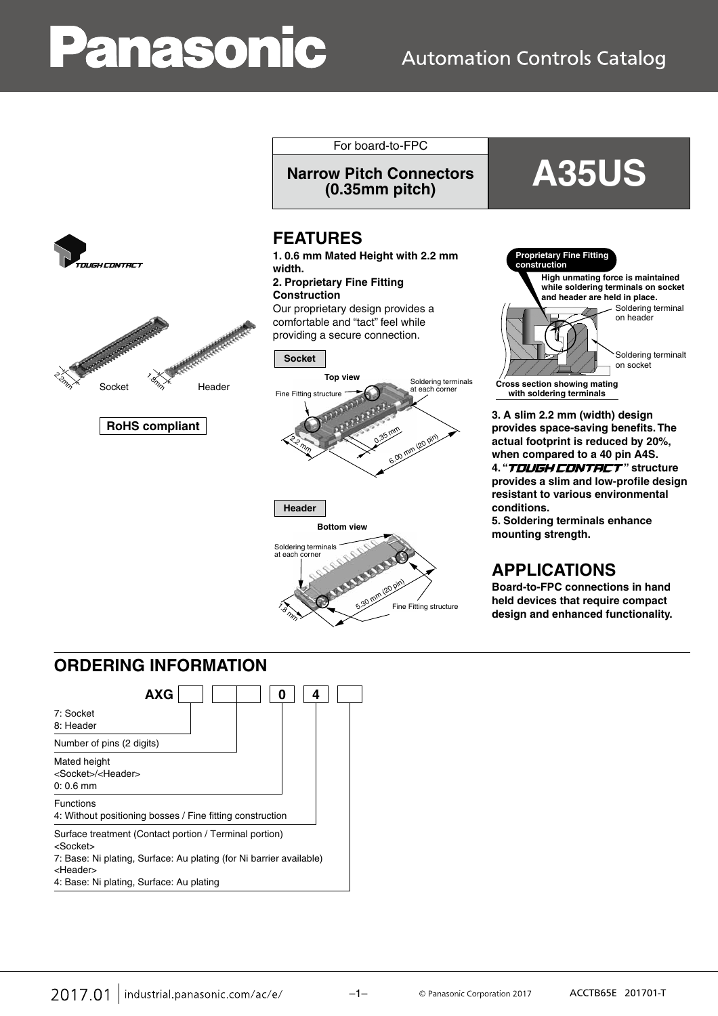# **Panasonic**

## **Automation Controls Catalog**





**RoHS compliant**

For board-to-FPC **Narrow Pitch Connectors**

## **FEATURES**

**1. 0.6 mm Mated Height with 2.2 mm width.**

**2. Proprietary Fine Fitting Construction** Our proprietary design provides a comfortable and "tact" feel while



**(0.35mm pitch) A35US**



**3. A slim 2.2 mm (width) design provides space-saving benefits. The actual footprint is reduced by 20%, when compared to a 40 pin A4S.** 4. "TOUGH CONTRCT" structure **provides a slim and low-profile design resistant to various environmental conditions.**

**5. Soldering terminals enhance mounting strength.**

## **APPLICATIONS**

**Board-to-FPC connections in hand held devices that require compact design and enhanced functionality.**

## **ORDERING INFORMATION**



4: Base: Ni plating, Surface: Au plating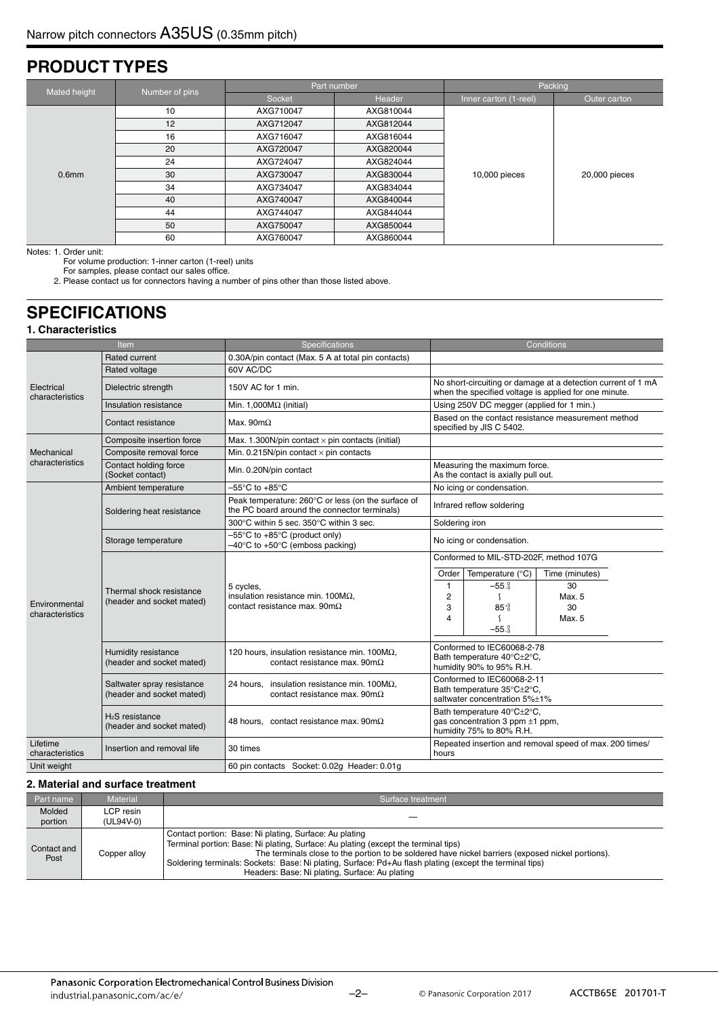## **PRODUCT TYPES**

| Mated height      | Number of pins |           | Part number | Packing               |               |  |
|-------------------|----------------|-----------|-------------|-----------------------|---------------|--|
|                   |                | Socket    | Header      | Inner carton (1-reel) | Outer carton  |  |
|                   | 10             | AXG710047 | AXG810044   |                       |               |  |
|                   | 12             | AXG712047 | AXG812044   |                       | 20,000 pieces |  |
|                   | 16             | AXG716047 | AXG816044   |                       |               |  |
|                   | 20             | AXG720047 | AXG820044   |                       |               |  |
|                   | 24             | AXG724047 | AXG824044   |                       |               |  |
| 0.6 <sub>mm</sub> | 30             | AXG730047 | AXG830044   | 10,000 pieces         |               |  |
|                   | 34             | AXG734047 | AXG834044   |                       |               |  |
|                   | 40             | AXG740047 | AXG840044   |                       |               |  |
|                   | 44             | AXG744047 | AXG844044   |                       |               |  |
|                   | 50             | AXG750047 | AXG850044   |                       |               |  |
|                   | 60             | AXG760047 | AXG860044   |                       |               |  |

Notes: 1. Order unit:

For volume production: 1-inner carton (1-reel) units

For samples, please contact our sales office. 2. Please contact us for connectors having a number of pins other than those listed above.

## **SPECIFICATIONS**

#### **1. Characteristics**

|                                                                      | Item                                                  | Specifications                                                                                             |                                                                                                |                                                                                                                       | Conditions                                              |  |  |
|----------------------------------------------------------------------|-------------------------------------------------------|------------------------------------------------------------------------------------------------------------|------------------------------------------------------------------------------------------------|-----------------------------------------------------------------------------------------------------------------------|---------------------------------------------------------|--|--|
|                                                                      | Rated current                                         | 0.30A/pin contact (Max. 5 A at total pin contacts)                                                         |                                                                                                |                                                                                                                       |                                                         |  |  |
|                                                                      | Rated voltage                                         | 60V AC/DC                                                                                                  |                                                                                                |                                                                                                                       |                                                         |  |  |
| Electrical<br>characteristics                                        | Dielectric strength                                   | 150V AC for 1 min.                                                                                         |                                                                                                | No short-circuiting or damage at a detection current of 1 mA<br>when the specified voltage is applied for one minute. |                                                         |  |  |
|                                                                      | Insulation resistance                                 | Min. 1,000 $M\Omega$ (initial)                                                                             |                                                                                                | Using 250V DC megger (applied for 1 min.)                                                                             |                                                         |  |  |
|                                                                      | Contact resistance                                    | Max. 90 $m\Omega$                                                                                          |                                                                                                | Based on the contact resistance measurement method<br>specified by JIS C 5402.                                        |                                                         |  |  |
|                                                                      | Composite insertion force                             | Max. 1.300N/pin contact $\times$ pin contacts (initial)                                                    |                                                                                                |                                                                                                                       |                                                         |  |  |
| Mechanical                                                           | Composite removal force                               | Min. 0.215N/pin contact $\times$ pin contacts                                                              |                                                                                                |                                                                                                                       |                                                         |  |  |
| characteristics                                                      | Contact holding force<br>(Socket contact)             | Min. 0.20N/pin contact                                                                                     |                                                                                                | Measuring the maximum force.<br>As the contact is axially pull out.                                                   |                                                         |  |  |
|                                                                      | Ambient temperature                                   | $-55^{\circ}$ C to $+85^{\circ}$ C                                                                         |                                                                                                | No icing or condensation.                                                                                             |                                                         |  |  |
|                                                                      | Soldering heat resistance                             | Peak temperature: 260°C or less (on the surface of<br>the PC board around the connector terminals)         | Infrared reflow soldering                                                                      |                                                                                                                       |                                                         |  |  |
|                                                                      |                                                       | 300°C within 5 sec. 350°C within 3 sec.                                                                    | Soldering iron                                                                                 |                                                                                                                       |                                                         |  |  |
|                                                                      | Storage temperature                                   | $-55^{\circ}$ C to +85 $^{\circ}$ C (product only)<br>$-40^{\circ}$ C to +50 $^{\circ}$ C (emboss packing) | No icing or condensation.                                                                      |                                                                                                                       |                                                         |  |  |
|                                                                      | Thermal shock resistance<br>(header and socket mated) |                                                                                                            |                                                                                                | Conformed to MIL-STD-202F, method 107G                                                                                |                                                         |  |  |
|                                                                      |                                                       |                                                                                                            | Order                                                                                          | Temperature $(^{\circ}C)$                                                                                             | Time (minutes)                                          |  |  |
|                                                                      |                                                       | 5 cycles,<br>insulation resistance min. $100M\Omega$ ,                                                     | $\mathbf{1}$                                                                                   | $-550_{3}$                                                                                                            | 30                                                      |  |  |
| Environmental                                                        |                                                       |                                                                                                            | $\overline{2}$                                                                                 | $\mathcal{L}$                                                                                                         | Max. 5                                                  |  |  |
| characteristics                                                      |                                                       | contact resistance max. $90 \text{m}\Omega$                                                                | 3<br>$\overline{\mathbf{A}}$                                                                   | $85^{+3}_{-0}$                                                                                                        | 30                                                      |  |  |
|                                                                      |                                                       |                                                                                                            |                                                                                                | - (                                                                                                                   | Max. 5                                                  |  |  |
|                                                                      |                                                       |                                                                                                            |                                                                                                | $-55-3$                                                                                                               |                                                         |  |  |
|                                                                      | Humidity resistance<br>(header and socket mated)      | 120 hours, insulation resistance min. 100 $M\Omega$ ,<br>contact resistance max. $90 \text{m}\Omega$       | Conformed to IEC60068-2-78<br>Bath temperature 40°C±2°C,<br>humidity 90% to 95% R.H.           |                                                                                                                       |                                                         |  |  |
| Saltwater spray resistance<br>24 hours.<br>(header and socket mated) |                                                       | insulation resistance min. 100 $M\Omega$ ,<br>contact resistance max. $90 \text{m}\Omega$                  |                                                                                                | Conformed to IEC60068-2-11<br>Bath temperature 35°C±2°C,<br>saltwater concentration 5%±1%                             |                                                         |  |  |
|                                                                      | $H2S$ resistance<br>(header and socket mated)         | 48 hours, contact resistance max. $90m\Omega$                                                              | Bath temperature 40°C±2°C.<br>gas concentration 3 ppm $\pm 1$ ppm,<br>humidity 75% to 80% R.H. |                                                                                                                       |                                                         |  |  |
| Lifetime<br>characteristics                                          | Insertion and removal life                            | 30 times                                                                                                   | hours                                                                                          |                                                                                                                       | Repeated insertion and removal speed of max. 200 times/ |  |  |
| Unit weight                                                          |                                                       | 60 pin contacts Socket: 0.02q Header: 0.01q                                                                |                                                                                                |                                                                                                                       |                                                         |  |  |

#### **2. Material and surface treatment**

| Part name           | <b>Material</b>        | Surface treatment                                                                                                                                                                                                                                                                                                                                                                                              |  |  |  |  |
|---------------------|------------------------|----------------------------------------------------------------------------------------------------------------------------------------------------------------------------------------------------------------------------------------------------------------------------------------------------------------------------------------------------------------------------------------------------------------|--|--|--|--|
| Molded<br>portion   | LCP resin<br>(UL94V-0) |                                                                                                                                                                                                                                                                                                                                                                                                                |  |  |  |  |
| Contact and<br>Post | Copper alloy           | Contact portion: Base: Ni plating, Surface: Au plating<br>Terminal portion: Base: Ni plating, Surface: Au plating (except the terminal tips)<br>The terminals close to the portion to be soldered have nickel barriers (exposed nickel portions).<br>Soldering terminals: Sockets: Base: Ni plating, Surface: Pd+Au flash plating (except the terminal tips)<br>Headers: Base: Ni plating, Surface: Au plating |  |  |  |  |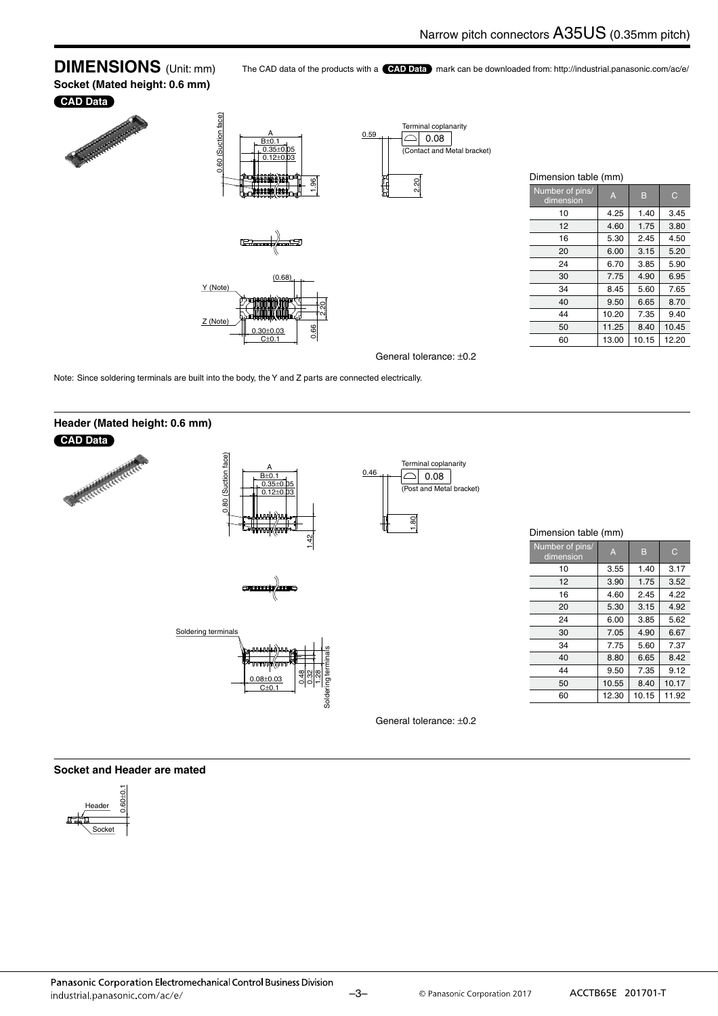#### **DIMENSIONS** (Unit: mm) **Socket (Mated height: 0.6 mm)**

The CAD data of the products with a **CAD Data** mark can be downloaded from: http://industrial.panasonic.com/ac/e/

#### **CAD Data**



Note: Since soldering terminals are built into the body, the Y and Z parts are connected electrically.



## Dimension table (mm)

| Number of pins/<br>dimension | A     | B     | C     |
|------------------------------|-------|-------|-------|
| 10                           | 3.55  | 1.40  | 3.17  |
| 12                           | 3.90  | 1.75  | 3.52  |
| 16                           | 4.60  | 2.45  | 4.22  |
| 20                           | 5.30  | 3.15  | 4.92  |
| 24                           | 6.00  | 3.85  | 5.62  |
| 30                           | 7.05  | 4.90  | 6.67  |
| 34                           | 7.75  | 5.60  | 7.37  |
| 40                           | 8.80  | 6.65  | 8.42  |
| 44                           | 9.50  | 7.35  | 9.12  |
| 50                           | 10.55 | 8.40  | 10.17 |
| 60                           | 12.30 | 10.15 | 11.92 |

10 4.25 1.40 3.45 12 4.60 1.75 3.80 16 5.30 2.45 4.50 20 6.00 3.15 5.20 24 6.70 3.85 5.90 30 7.75 4.90 6.95 34 8.45 5.60 7.65 40 9.50 6.65 8.70 44 10.20 7.35 9.40 50 11.25 8.40 10.45 60 13.00 10.15 12.20

General tolerance: ±0.2

#### **Socket and Header are mated**

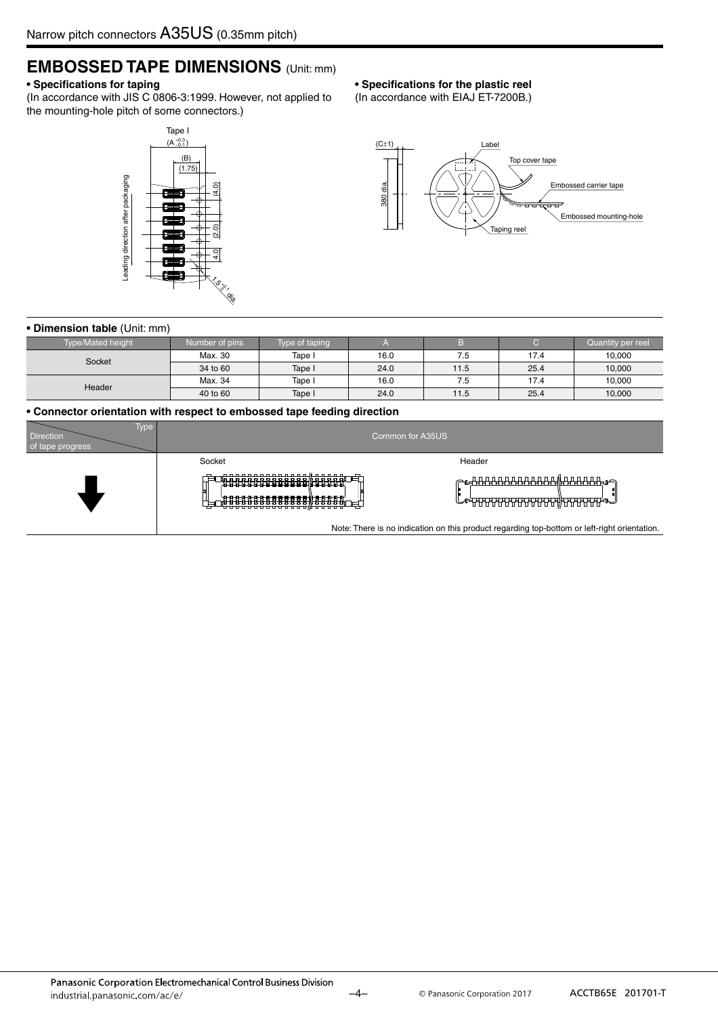## **EMBOSSED TAPE DIMENSIONS** (Unit: mm)

#### **• Specifications for taping**

(In accordance with JIS C 0806-3:1999. However, not applied to the mounting-hole pitch of some connectors.)

#### Tape I  $(A_{-0.1}^{+0.3})$ (B)  $(1.75)$ Leading direction after packaging Leading direction after packaging  $(2.0)$   $(4.0)$ 4.0  $\lesssim$  $^{*o}$ 0 dia.

#### **• Specifications for the plastic reel**

(In accordance with EIAJ ET-7200B.)



#### **• Dimension table** (Unit: mm)

| <b>Type/Mated height</b> | Number of pins | Type of taping |      |      |      | Quantity per reel |
|--------------------------|----------------|----------------|------|------|------|-------------------|
| Socket                   | Max. 30        | Tape I         | 16.0 | 7.5  | 17.4 | 10,000            |
|                          | 34 to 60       | Tape I         | 24.0 | 11.5 | 25.4 | 10,000            |
| Header                   | Max. 34        | Tape I         | 16.0 | 7.5  | 17.4 | 10,000            |
|                          | 40 to 60       | Tape I         | 24.0 | 11.5 | 25.4 | 10,000            |

#### **• Connector orientation with respect to embossed tape feeding direction**

| Type \<br><b>Direction</b><br>of tape progress |                                                                      | Common for A35US                                                                             |
|------------------------------------------------|----------------------------------------------------------------------|----------------------------------------------------------------------------------------------|
|                                                | Socket                                                               | Header                                                                                       |
|                                                | <u>, 19888888888888 (198888 )</u><br><del>,8888888888888898888</del> | <u>ᡔᢑ᠊ᡯᡯᡯᡯᡯᡯᡯᡯᡯᡯᡯᡯᡯᡯᡏᠷᡏᡏᡏᡏᡏᡏᡏᡏᡏ</u> ᡂ<br>╚ <del>╺╺╣┪┪┪┪┪┪┪┪┪┪┪┪┪┪┪┪┪┪┪</del>                 |
|                                                |                                                                      | Note: There is no indication on this product regarding top-bottom or left-right orientation. |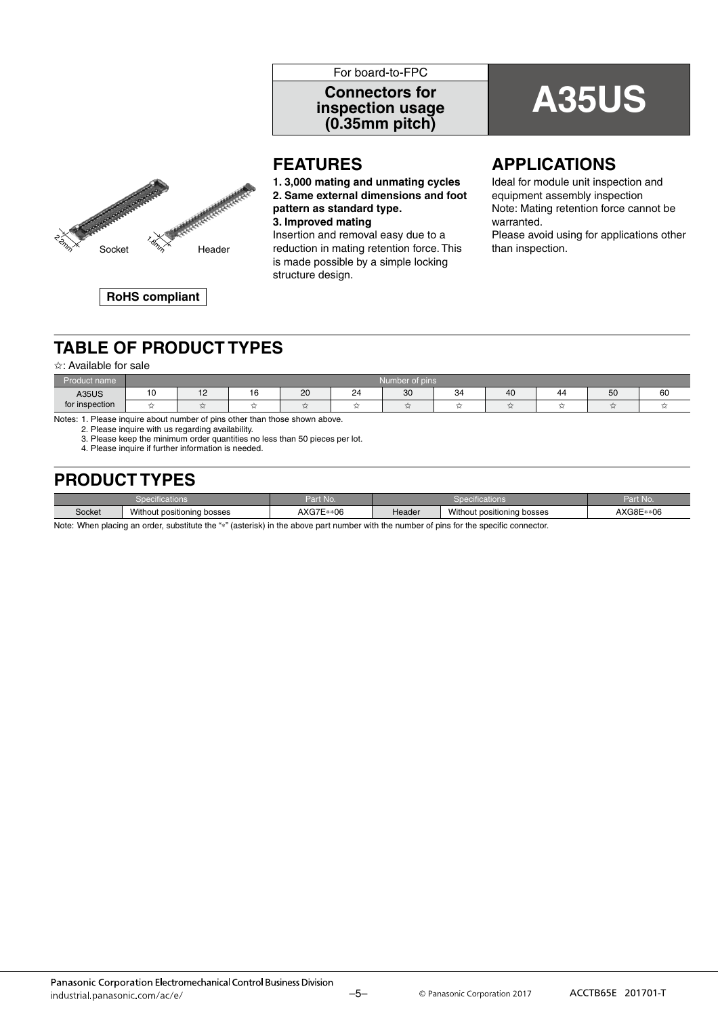#### For board-to-FPC

## **inspection usage (0.35mm pitch)**

## **A35US Connectors for**



#### **FEATURES**

**1. 3,000 mating and unmating cycles 2. Same external dimensions and foot pattern as standard type. 3. Improved mating**

Insertion and removal easy due to a is made possible by a simple locking structure design.

#### **APPLICATIONS**

Ideal for module unit inspection and equipment assembly inspection Note: Mating retention force cannot be warranted. Please avoid using for applications other

**RoHS compliant**

## **TABLE OF PRODUCT TYPES**

#### ✩: Available for sale

| <b>Service</b><br>_<br>\ name<br><u>roquet</u> | Number of pins |                               |                      |    |    |    |    |    |    |        |    |
|------------------------------------------------|----------------|-------------------------------|----------------------|----|----|----|----|----|----|--------|----|
| <b>A35US</b>                                   | י<br>л.        | $\overline{10}$<br>. <u>.</u> | $\overline{a}$<br>ıc | 20 | 24 | 30 | 34 | 40 | 44 | 50     | 60 |
| for inspection                                 | دمه            |                               |                      |    |    |    |    |    |    | $\sim$ |    |

Notes: 1. Please inquire about number of pins other than those shown above.

2. Please inquire with us regarding availability.

3. Please keep the minimum order quantities no less than 50 pieces per lot.

4. Please inquire if further information is needed.

## **PRODUCT TYPES**

|                                                           |  | $2n + 1$            | .      |                                      | Do P                                |
|-----------------------------------------------------------|--|---------------------|--------|--------------------------------------|-------------------------------------|
|                                                           |  | 'WO.                | .      |                                      | . .                                 |
| Witr.<br>Socket<br>t nocitioning<br>hooper<br>しつつこ<br>www |  | AXG7E<br>*06<br>. . | Header | Without.<br>bosses<br>t positioning. | $\sim$<br><u>да</u><br>ั∗∪⊳<br>והכו |

Note: When placing an order, substitute the "∗" (asterisk) in the above part number with the number of pins for the specific connector.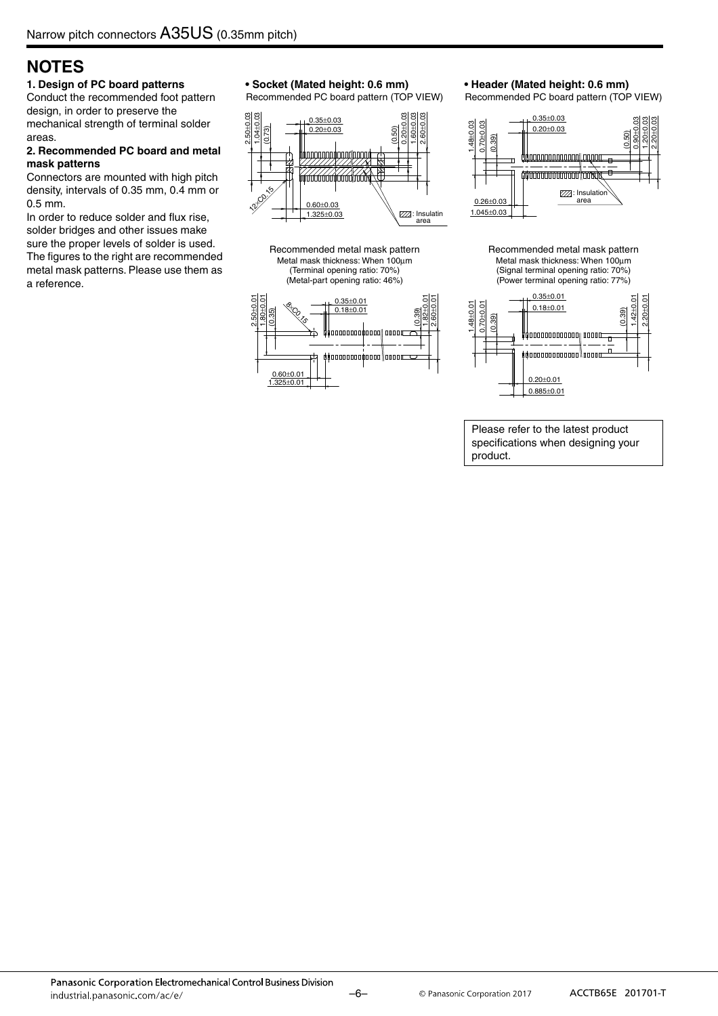## **NOTES**

#### **1. Design of PC board patterns**

Conduct the recommended foot pattern design, in order to preserve the mechanical strength of terminal solder areas.

#### **2. Recommended PC board and metal mask patterns**

Connectors are mounted with high pitch density, intervals of 0.35 mm, 0.4 mm or 0.5 mm.

In order to reduce solder and flux rise, solder bridges and other issues make sure the proper levels of solder is used. The figures to the right are recommended metal mask patterns. Please use them as a reference.

#### **• Socket (Mated height: 0.6 mm)**

Recommended PC board pattern (TOP VIEW)



Recommended metal mask pattern Metal mask thickness: When 100μm (Terminal opening ratio: 70%) (Metal-part opening ratio: 46%)



#### **• Header (Mated height: 0.6 mm)**

Recommended PC board pattern (TOP VIEW)



Recommended metal mask pattern Metal mask thickness: When 100μm (Signal terminal opening ratio: 70%) (Power terminal opening ratio: 77%)



Please refer to the latest product specifications when designing your product.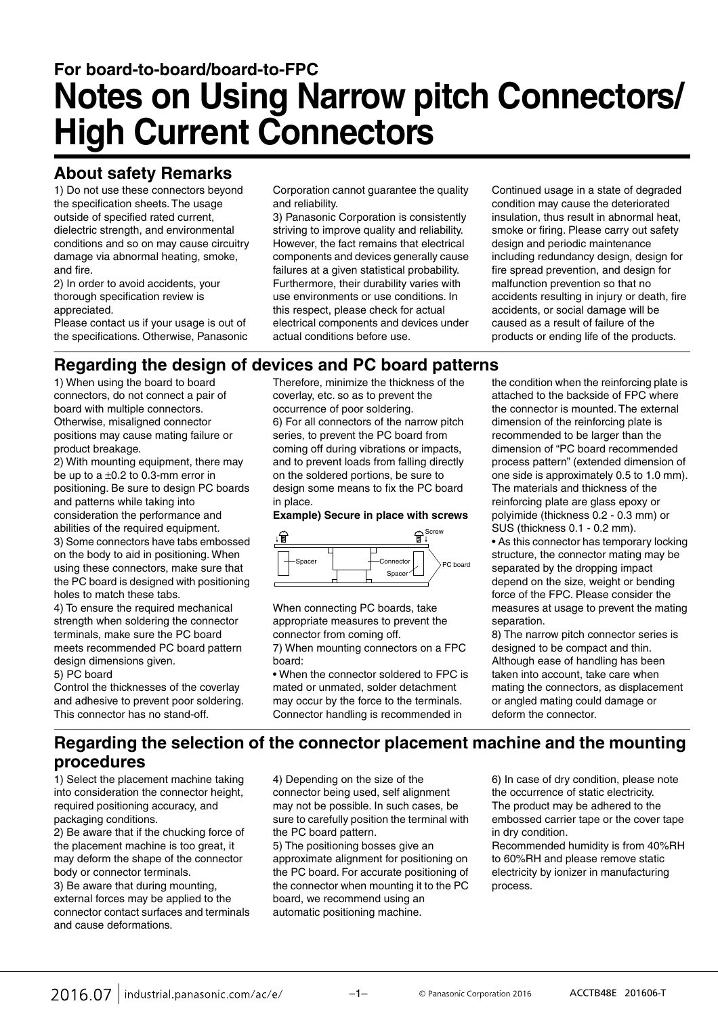## **For board-to-board/board-to-FPC Notes on Using Narrow pitch Connectors/ High Current Connectors**

## **About safety Remarks**

1) Do not use these connectors beyond the specification sheets. The usage outside of specified rated current, dielectric strength, and environmental conditions and so on may cause circuitry damage via abnormal heating, smoke, and fire.

2) In order to avoid accidents, your thorough specification review is appreciated.

Please contact us if your usage is out of the specifications. Otherwise, Panasonic Corporation cannot guarantee the quality and reliability.

3) Panasonic Corporation is consistently striving to improve quality and reliability. However, the fact remains that electrical components and devices generally cause failures at a given statistical probability. Furthermore, their durability varies with use environments or use conditions. In this respect, please check for actual electrical components and devices under actual conditions before use.

Continued usage in a state of degraded condition may cause the deteriorated insulation, thus result in abnormal heat, smoke or firing. Please carry out safety design and periodic maintenance including redundancy design, design for fire spread prevention, and design for malfunction prevention so that no accidents resulting in injury or death, fire accidents, or social damage will be caused as a result of failure of the products or ending life of the products.

#### **Regarding the design of devices and PC board patterns**

1) When using the board to board connectors, do not connect a pair of board with multiple connectors. Otherwise, misaligned connector positions may cause mating failure or product breakage.

2) With mounting equipment, there may be up to a  $\pm 0.2$  to 0.3-mm error in positioning. Be sure to design PC boards and patterns while taking into consideration the performance and abilities of the required equipment. 3) Some connectors have tabs embossed

on the body to aid in positioning. When using these connectors, make sure that the PC board is designed with positioning holes to match these tabs.

4) To ensure the required mechanical strength when soldering the connector terminals, make sure the PC board meets recommended PC board pattern design dimensions given. 5) PC board

Control the thicknesses of the coverlay and adhesive to prevent poor soldering. This connector has no stand-off.

Therefore, minimize the thickness of the coverlay, etc. so as to prevent the occurrence of poor soldering. 6) For all connectors of the narrow pitch series, to prevent the PC board from coming off during vibrations or impacts, and to prevent loads from falling directly on the soldered portions, be sure to design some means to fix the PC board in place.

#### **Example) Secure in place with screws**



When connecting PC boards, take appropriate measures to prevent the connector from coming off.

7) When mounting connectors on a FPC board:

• When the connector soldered to FPC is mated or unmated, solder detachment may occur by the force to the terminals. Connector handling is recommended in

the condition when the reinforcing plate is attached to the backside of FPC where the connector is mounted. The external dimension of the reinforcing plate is recommended to be larger than the dimension of "PC board recommended process pattern" (extended dimension of one side is approximately 0.5 to 1.0 mm). The materials and thickness of the reinforcing plate are glass epoxy or polyimide (thickness 0.2 - 0.3 mm) or SUS (thickness 0.1 - 0.2 mm).

• As this connector has temporary locking structure, the connector mating may be separated by the dropping impact depend on the size, weight or bending force of the FPC. Please consider the measures at usage to prevent the mating separation.

8) The narrow pitch connector series is designed to be compact and thin. Although ease of handling has been taken into account, take care when mating the connectors, as displacement or angled mating could damage or deform the connector.

#### **Regarding the selection of the connector placement machine and the mounting procedures**

1) Select the placement machine taking into consideration the connector height, required positioning accuracy, and packaging conditions.

2) Be aware that if the chucking force of the placement machine is too great, it may deform the shape of the connector body or connector terminals.

3) Be aware that during mounting, external forces may be applied to the connector contact surfaces and terminals and cause deformations.

4) Depending on the size of the connector being used, self alignment may not be possible. In such cases, be sure to carefully position the terminal with the PC board pattern.

5) The positioning bosses give an approximate alignment for positioning on the PC board. For accurate positioning of the connector when mounting it to the PC board, we recommend using an automatic positioning machine.

6) In case of dry condition, please note the occurrence of static electricity. The product may be adhered to the embossed carrier tape or the cover tape in dry condition.

Recommended humidity is from 40%RH to 60%RH and please remove static electricity by ionizer in manufacturing process.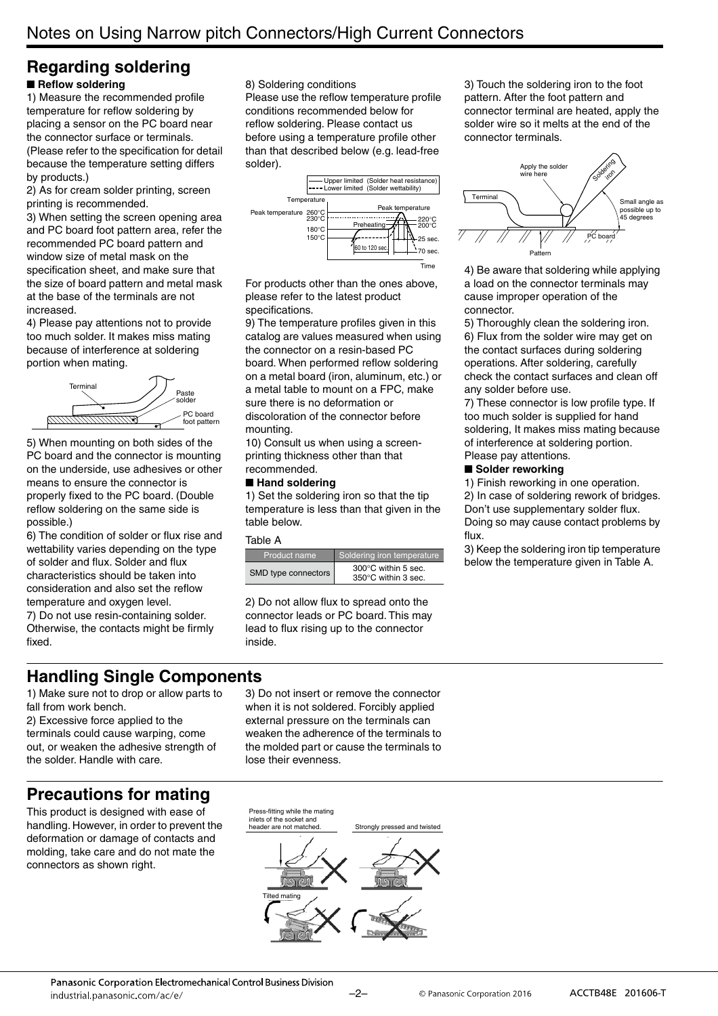#### **Regarding soldering** ■ Reflow soldering

1) Measure the recommended profile temperature for reflow soldering by placing a sensor on the PC board near the connector surface or terminals. (Please refer to the specification for detail because the temperature setting differs by products.)

2) As for cream solder printing, screen printing is recommended.

3) When setting the screen opening area and PC board foot pattern area, refer the recommended PC board pattern and window size of metal mask on the specification sheet, and make sure that the size of board pattern and metal mask at the base of the terminals are not increased.

4) Please pay attentions not to provide too much solder. It makes miss mating because of interference at soldering portion when mating.



5) When mounting on both sides of the PC board and the connector is mounting on the underside, use adhesives or other means to ensure the connector is properly fixed to the PC board. (Double reflow soldering on the same side is possible.)

6) The condition of solder or flux rise and wettability varies depending on the type of solder and flux. Solder and flux characteristics should be taken into consideration and also set the reflow temperature and oxygen level.

7) Do not use resin-containing solder. Otherwise, the contacts might be firmly fixed.

8) Soldering conditions

Please use the reflow temperature profile conditions recommended below for reflow soldering. Please contact us before using a temperature profile other than that described below (e.g. lead-free solder).



For products other than the ones above, please refer to the latest product specifications.

9) The temperature profiles given in this catalog are values measured when using the connector on a resin-based PC board. When performed reflow soldering on a metal board (iron, aluminum, etc.) or a metal table to mount on a FPC, make sure there is no deformation or discoloration of the connector before mounting.

10) Consult us when using a screenprinting thickness other than that recommended.

#### ■ **Hand soldering**

1) Set the soldering iron so that the tip temperature is less than that given in the table below.

#### Table A

| Product name        | Soldering iron temperature                           |
|---------------------|------------------------------------------------------|
| SMD type connectors | $300^{\circ}$ C within 5 sec.<br>350°C within 3 sec. |

2) Do not allow flux to spread onto the connector leads or PC board. This may lead to flux rising up to the connector inside.

3) Touch the soldering iron to the foot pattern. After the foot pattern and connector terminal are heated, apply the solder wire so it melts at the end of the connector terminals.



4) Be aware that soldering while applying a load on the connector terminals may cause improper operation of the connector.

5) Thoroughly clean the soldering iron. 6) Flux from the solder wire may get on the contact surfaces during soldering operations. After soldering, carefully check the contact surfaces and clean off any solder before use.

7) These connector is low profile type. If too much solder is supplied for hand soldering, It makes miss mating because of interference at soldering portion. Please pay attentions.

#### ■ Solder reworking

1) Finish reworking in one operation. 2) In case of soldering rework of bridges. Don't use supplementary solder flux. Doing so may cause contact problems by flux.

3) Keep the soldering iron tip temperature below the temperature given in Table A.

## **Handling Single Components**

1) Make sure not to drop or allow parts to fall from work bench.

2) Excessive force applied to the terminals could cause warping, come out, or weaken the adhesive strength of the solder. Handle with care.

3) Do not insert or remove the connector when it is not soldered. Forcibly applied external pressure on the terminals can weaken the adherence of the terminals to the molded part or cause the terminals to lose their evenness.

## **Precautions for mating**

This product is designed with ease of handling. However, in order to prevent the deformation or damage of contacts and molding, take care and do not mate the connectors as shown right.

Tilted mating

Press-fitting while the mating inlets of the socket and header are not matched

Strongly pressed and twisted

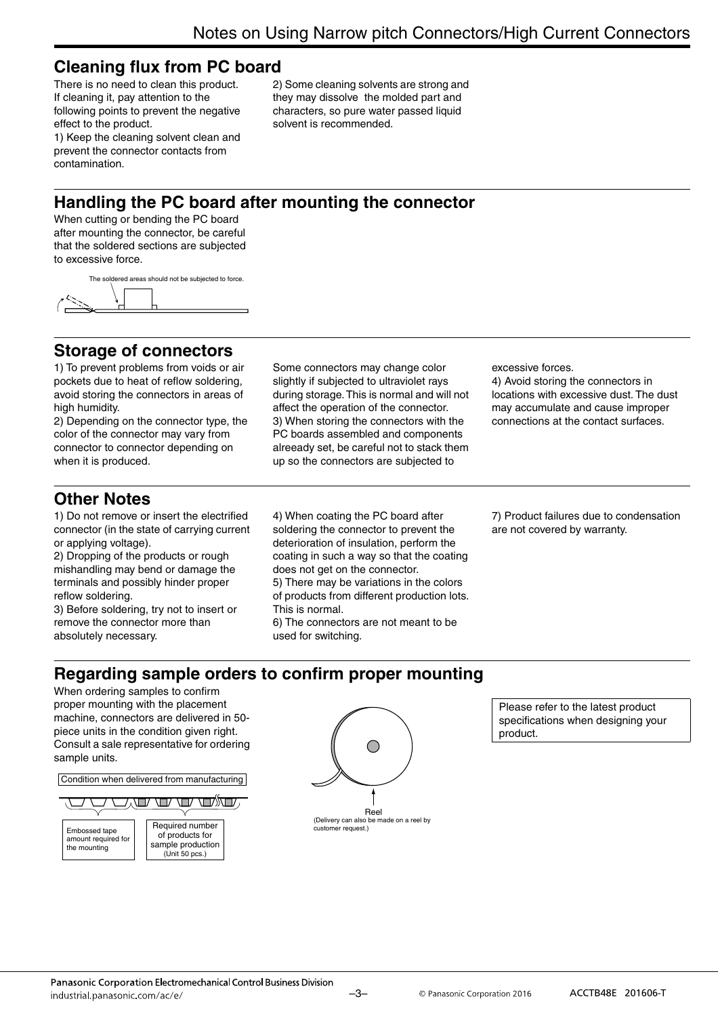## **Cleaning flux from PC board**

There is no need to clean this product. If cleaning it, pay attention to the following points to prevent the negative effect to the product.

2) Some cleaning solvents are strong and they may dissolve the molded part and characters, so pure water passed liquid solvent is recommended.

1) Keep the cleaning solvent clean and prevent the connector contacts from contamination.

## **Handling the PC board after mounting the connector**

When cutting or bending the PC board after mounting the connector, be careful that the soldered sections are subjected to excessive force.

The soldered areas should not be subjected to force.



## **Storage of connectors**

1) To prevent problems from voids or air pockets due to heat of reflow soldering, avoid storing the connectors in areas of high humidity.

2) Depending on the connector type, the color of the connector may vary from connector to connector depending on when it is produced.

Some connectors may change color slightly if subjected to ultraviolet rays during storage. This is normal and will not affect the operation of the connector. 3) When storing the connectors with the PC boards assembled and components alreeady set, be careful not to stack them up so the connectors are subjected to

excessive forces.

4) Avoid storing the connectors in locations with excessive dust. The dust may accumulate and cause improper connections at the contact surfaces.

## **Other Notes**

1) Do not remove or insert the electrified connector (in the state of carrying current or applying voltage).

2) Dropping of the products or rough mishandling may bend or damage the terminals and possibly hinder proper reflow soldering.

3) Before soldering, try not to insert or remove the connector more than absolutely necessary.

4) When coating the PC board after soldering the connector to prevent the deterioration of insulation, perform the coating in such a way so that the coating does not get on the connector. 5) There may be variations in the colors of products from different production lots.

This is normal.

6) The connectors are not meant to be used for switching.

7) Product failures due to condensation are not covered by warranty.

## **Regarding sample orders to confirm proper mounting**

When ordering samples to confirm proper mounting with the placement machine, connectors are delivered in 50 piece units in the condition given right. Consult a sale representative for ordering sample units.

Condition when delivered from manufacturing





Please refer to the latest product specifications when designing your product.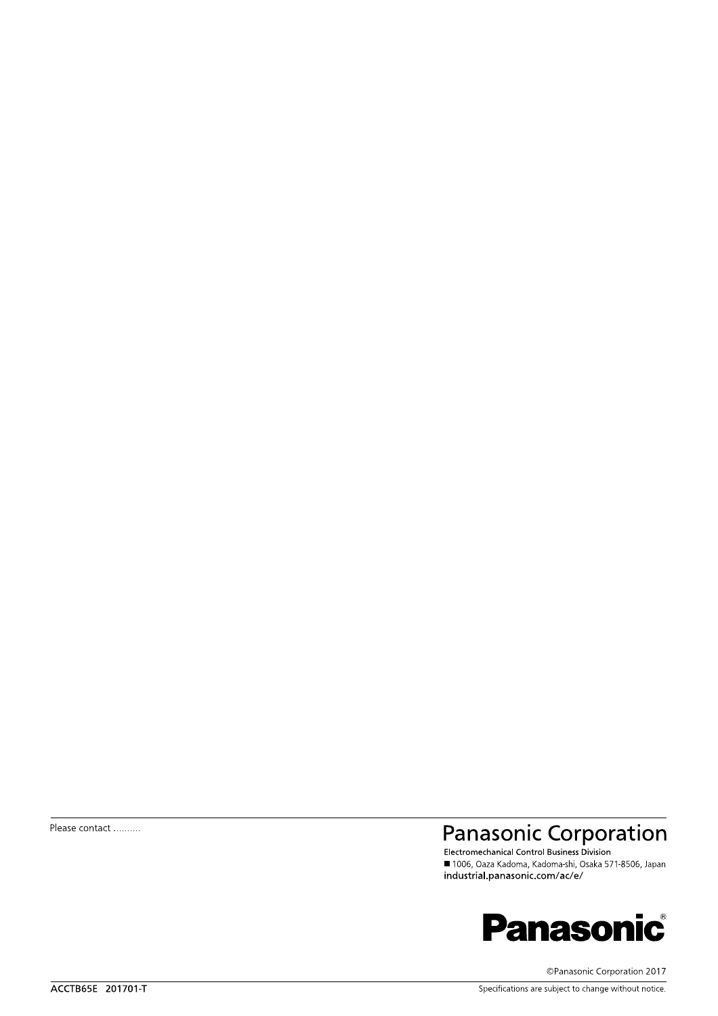Please contact ..........

## Panasonic Corporation

■ 1006, Oaza Kadoma, Kadoma-shi, Osaka 571-8506, Japan industrial.panasonic.com/ac/e/



©Panasonic Corporation 2017

Specifications are subject to change without notice.